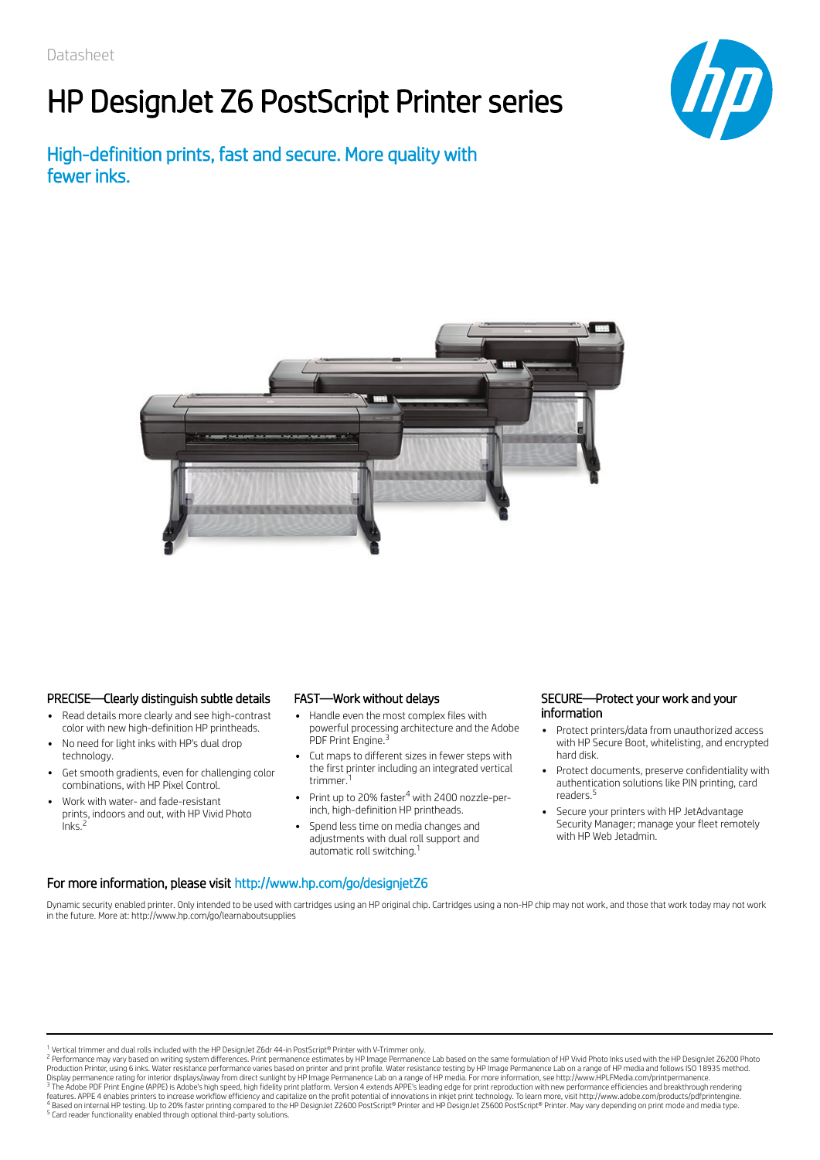# HP DesignJet Z6 PostScript Printer series

High-definition prints, fast and secure. More quality with fewer inks.





#### PRECISE—Clearly distinguish subtle details

- Read details more clearly and see high-contrast color with new high-definition HP printheads.
- No need for light inks with HP's dual drop technology.
- Get smooth gradients, even for challenging color combinations, with HP Pixel Control.
- Work with water- and fade-resistant prints, indoors and out, with HP Vivid Photo Inks. 2

#### FAST—Work without delays

- Handle even the most complex files with powerful processing architecture and the Adobe PDF Print Engine.<sup>3</sup>
- Cut maps to different sizes in fewer steps with the first printer including an integrated vertical trimmer. 1
- Print up to 20% faster<sup>4</sup> with 2400 nozzle-perinch, high-definition HP printheads.
- Spend less time on media changes and adjustments with dual roll support and automatic roll switching.<sup>1</sup>

#### SECURE—Protect your work and your information

- Protect printers/data from unauthorized access with HP Secure Boot, whitelisting, and encrypted hard disk.
- Protect documents, preserve confidentiality with authentication solutions like PIN printing, card readers. 5
- Secure your printers with HP JetAdvantage Security Manager; manage your fleet remotely with HP Web Jetadmin.

### For more information, please visit http://www.hp.com/go/designjetZ6 Dynamic security enabled printer. Only intended to be used with cartridges using an HP original chip. Cartridges using a non-HP chip may not work, and those that work today may not work

in the future. More at: http://www.hp.com/go/learnaboutsupplies

<sup>1</sup> Vertical trimmer and dual rolls included with the HP DesignJet Z6dr 44-in PostScript® Printer with V-Trimmer only.

<sup>2</sup> Performance may vary based on writing system differences. Print permanence estimates by HP Image Permanence Lab based on the same formulation of HP Vivid Photo Inks used with the HP DesignJet Z6200 Photo Production Printer, using 6 inks. Water resistance performance varies based on printer and print profile. Water resistance testing by HP Image Permanence Lab on a range of HP media and follows ISO 18935 method.<br>Display per <sup>5</sup> Card reader functionality enabled through optional third-party solutions. 3 4